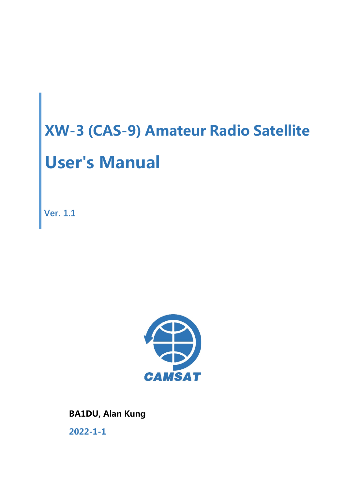**Ver. 1.1**



**BA1DU, Alan Kung 2022-1-1**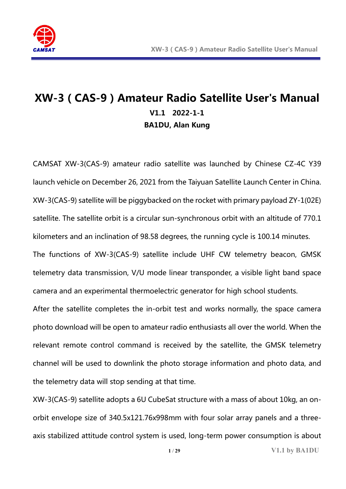

# **XW-3(CAS-9)Amateur Radio Satellite User's Manual V1.1 2022-1-1 BA1DU, Alan Kung**

CAMSAT XW-3(CAS-9) amateur radio satellite was launched by Chinese CZ-4C Y39 launch vehicle on December 26, 2021 from the Taiyuan Satellite Launch Center in China. XW-3(CAS-9) satellite will be piggybacked on the rocket with primary payload ZY-1(02E) satellite. The satellite orbit is a circular sun-synchronous orbit with an altitude of 770.1 kilometers and an inclination of 98.58 degrees, the running cycle is 100.14 minutes. The functions of XW-3(CAS-9) satellite include UHF CW telemetry beacon, GMSK telemetry data transmission, V/U mode linear transponder, a visible light band space camera and an experimental thermoelectric generator for high school students.

After the satellite completes the in-orbit test and works normally, the space camera photo download will be open to amateur radio enthusiasts all over the world. When the relevant remote control command is received by the satellite, the GMSK telemetry channel will be used to downlink the photo storage information and photo data, and the telemetry data will stop sending at that time.

XW-3(CAS-9) satellite adopts a 6U CubeSat structure with a mass of about 10kg, an onorbit envelope size of 340.5x121.76x998mm with four solar array panels and a threeaxis stabilized attitude control system is used, long-term power consumption is about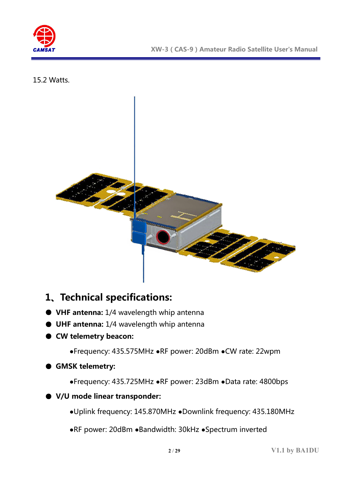

15.2 Watts.



## **1、Technical specifications:**

- **VHF antenna:** 1/4 wavelength whip antenna
- **UHF antenna:** 1/4 wavelength whip antenna
- **CW telemetry beacon:**

**●**Frequency: 435.575MHz **●**RF power: 20dBm **●**CW rate: 22wpm

#### ● **GMSK telemetry:**

**●**Frequency: 435.725MHz **●**RF power: 23dBm **●**Data rate: 4800bps

#### ● **V/U mode linear transponder:**

**●**Uplink frequency: 145.870MHz **●**Downlink frequency: 435.180MHz

**●**RF power: 20dBm **●**Bandwidth: 30kHz **●**Spectrum inverted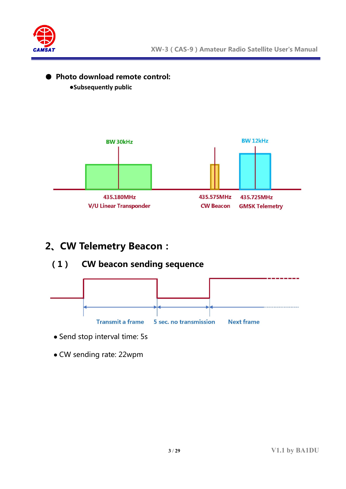

#### ● **Photo download remote control:**

**●Subsequently public**



# **2、CW Telemetry Beacon:**

#### **(1) CW beacon sending sequence**



- Send stop interval time: 5s
- CW sending rate: 22wpm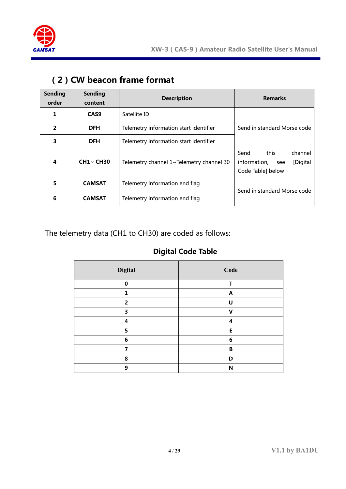

| <b>Sending</b><br>order | <b>Sending</b><br>content | <b>Description</b>                       | <b>Remarks</b>                                                                  |  |
|-------------------------|---------------------------|------------------------------------------|---------------------------------------------------------------------------------|--|
| 1                       | CAS <sub>9</sub>          | Satellite ID                             |                                                                                 |  |
| 2                       | <b>DFH</b>                | Telemetry information start identifier   | Send in standard Morse code                                                     |  |
| 3                       | <b>DFH</b>                | Telemetry information start identifier   |                                                                                 |  |
| 4                       | <b>CH1~ CH30</b>          | Telemetry channel 1~Telemetry channel 30 | this<br>Send<br>channel<br>information,<br>[Digital<br>see<br>Code Table] below |  |
| 5                       | <b>CAMSAT</b>             | Telemetry information end flag           | Send in standard Morse code                                                     |  |
| 6                       | <b>CAMSAT</b>             | Telemetry information end flag           |                                                                                 |  |

### **(2)CW beacon frame format**

The telemetry data (CH1 to CH30) are coded as follows:

#### **Digital Code Table**

| Digital        | Code                      |
|----------------|---------------------------|
| $\bf{0}$       | Т                         |
| 1              | $\boldsymbol{\mathsf{A}}$ |
| $\overline{2}$ | U                         |
| 3              | V                         |
| 4              | 4                         |
| 5              | E                         |
| 6              | 6                         |
| 7              | B                         |
| 8              | D                         |
| 9              | N                         |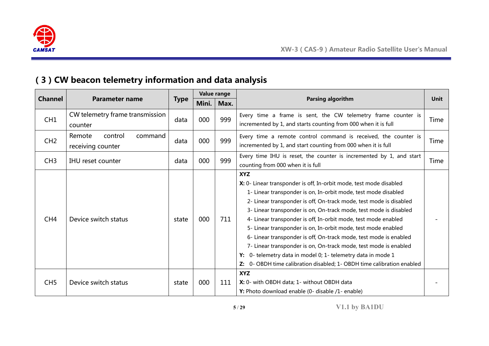

# **(3)CW beacon telemetry information and data analysis**

|                 |                                                   |             | Value range |      |                                                                                                                                                                                                                                                                                                                                                                                                                                                                                                                                                                                                                                                                                                                           |      |
|-----------------|---------------------------------------------------|-------------|-------------|------|---------------------------------------------------------------------------------------------------------------------------------------------------------------------------------------------------------------------------------------------------------------------------------------------------------------------------------------------------------------------------------------------------------------------------------------------------------------------------------------------------------------------------------------------------------------------------------------------------------------------------------------------------------------------------------------------------------------------------|------|
| <b>Channel</b>  | <b>Parameter name</b>                             | <b>Type</b> | Mini.       | Max. | <b>Parsing algorithm</b>                                                                                                                                                                                                                                                                                                                                                                                                                                                                                                                                                                                                                                                                                                  | Unit |
| CH <sub>1</sub> | CW telemetry frame transmission<br>counter        | data        | 000         | 999  | Every time a frame is sent, the CW telemetry frame counter is<br>incremented by 1, and starts counting from 000 when it is full                                                                                                                                                                                                                                                                                                                                                                                                                                                                                                                                                                                           | Time |
| CH2             | Remote<br>control<br>command<br>receiving counter | data        | 000         | 999  | Every time a remote control command is received, the counter is<br>incremented by 1, and start counting from 000 when it is full                                                                                                                                                                                                                                                                                                                                                                                                                                                                                                                                                                                          | Time |
| CH3             | <b>IHU</b> reset counter                          | data        | 000         | 999  | Every time IHU is reset, the counter is incremented by 1, and start<br>counting from 000 when it is full                                                                                                                                                                                                                                                                                                                                                                                                                                                                                                                                                                                                                  | Time |
| CH <sub>4</sub> | Device switch status                              | state       | 000         | 711  | <b>XYZ</b><br>X: 0- Linear transponder is off, In-orbit mode, test mode disabled<br>1- Linear transponder is on, In-orbit mode, test mode disabled<br>2- Linear transponder is off, On-track mode, test mode is disabled<br>3- Linear transponder is on, On-track mode, test mode is disabled<br>4- Linear transponder is off, In-orbit mode, test mode enabled<br>5- Linear transponder is on, In-orbit mode, test mode enabled<br>6- Linear transponder is off, On-track mode, test mode is enabled<br>7- Linear transponder is on, On-track mode, test mode is enabled<br>0- telemetry data in model 0; 1- telemetry data in mode 1<br>Y:<br>0- OBDH time calibration disabled; 1- OBDH time calibration enabled<br>Z: |      |
| CH <sub>5</sub> | Device switch status                              | state       | 000         | 111  | <b>XYZ</b><br>X: 0- with OBDH data; 1- without OBDH data<br>Y: Photo download enable (0- disable /1- enable)                                                                                                                                                                                                                                                                                                                                                                                                                                                                                                                                                                                                              |      |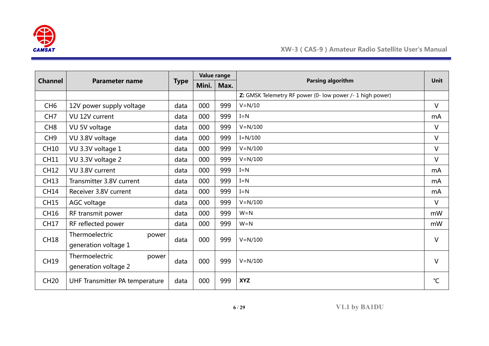

| <b>Channel</b>  |                                |             | Value range |      |                                                           | <b>Unit</b>  |
|-----------------|--------------------------------|-------------|-------------|------|-----------------------------------------------------------|--------------|
|                 | <b>Parameter name</b>          | <b>Type</b> | Mini.       | Max. | Parsing algorithm                                         |              |
|                 |                                |             |             |      | Z: GMSK Telemetry RF power (0- low power /- 1 high power) |              |
| CH <sub>6</sub> | 12V power supply voltage       | data        | 000         | 999  | $V = N/10$                                                | $\vee$       |
| CH <sub>7</sub> | VU 12V current                 | data        | 000         | 999  | $I = N$                                                   | mA           |
| CH <sub>8</sub> | VU 5V voltage                  | data        | 000         | 999  | $V = N/100$                                               | $\vee$       |
| CH <sub>9</sub> | VU 3.8V voltage                | data        | 000         | 999  | $I=N/100$                                                 | $\vee$       |
| <b>CH10</b>     | VU 3.3V voltage 1              | data        | 000         | 999  | $V = N/100$                                               | V            |
| <b>CH11</b>     | VU 3.3V voltage 2              | data        | 000         | 999  | $V = N/100$                                               | $\vee$       |
| <b>CH12</b>     | VU 3.8V current                | data        | 000         | 999  | $I = N$                                                   | mA           |
| <b>CH13</b>     | Transmitter 3.8V current       | data        | 000         | 999  | $I = N$                                                   | mA           |
| <b>CH14</b>     | Receiver 3.8V current          | data        | 000         | 999  | $I = N$                                                   | mA           |
| <b>CH15</b>     | AGC voltage                    | data        | 000         | 999  | $V = N/100$                                               | $\vee$       |
| CH16            | RF transmit power              | data        | 000         | 999  | $W = N$                                                   | mW           |
| <b>CH17</b>     | RF reflected power             | data        | 000         | 999  | $W = N$                                                   | mW           |
| <b>CH18</b>     | Thermoelectric<br>power        | data        | 000         | 999  | $V = N/100$                                               | $\vee$       |
|                 | generation voltage 1           |             |             |      |                                                           |              |
| <b>CH19</b>     | Thermoelectric<br>power        | data        | 000         | 999  | $V = N/100$                                               | $\vee$       |
|                 | generation voltage 2           |             |             |      |                                                           |              |
| <b>CH20</b>     | UHF Transmitter PA temperature | data        | 000         | 999  | <b>XYZ</b>                                                | $^{\circ}$ C |

**6** / **29 V1.1 by BA1DU**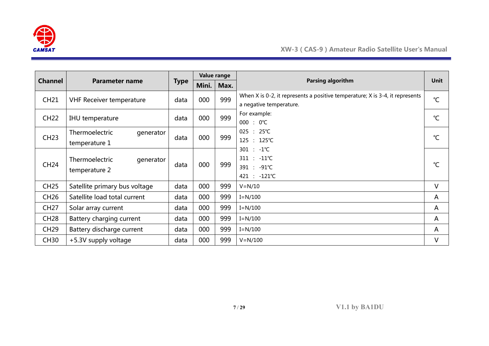

|                |                                              |             | Value range |      |                                                                                                         |               |
|----------------|----------------------------------------------|-------------|-------------|------|---------------------------------------------------------------------------------------------------------|---------------|
| <b>Channel</b> | <b>Parameter name</b>                        | <b>Type</b> | Mini.       | Max. | Parsing algorithm                                                                                       | <b>Unit</b>   |
| <b>CH21</b>    | <b>VHF Receiver temperature</b>              | data        | 000         | 999  | When X is 0-2, it represents a positive temperature; X is 3-4, it represents<br>a negative temperature. | $^{\circ}C$   |
| <b>CH22</b>    | IHU temperature                              | data        | 000         | 999  | For example:<br>$000 : 0^{\circ}C$                                                                      | $^{\circ}C$   |
| <b>CH23</b>    | Thermoelectric<br>generator<br>temperature 1 | data        | 000         | 999  | $025 : 25^{\circ}C$<br>125 : 125℃                                                                       | $\mathcal{C}$ |
| <b>CH24</b>    | Thermoelectric<br>generator<br>temperature 2 | data        | 000         | 999  | $301 : -1^{\circ}C$<br>$311 : -11^{\circ}C$<br>391 : -91℃<br>421 : -121℃                                | $^{\circ}C$   |
| <b>CH25</b>    | Satellite primary bus voltage                | data        | 000         | 999  | $V = N/10$                                                                                              | V             |
| <b>CH26</b>    | Satellite load total current                 | data        | 000         | 999  | $I = N/100$                                                                                             | A             |
| <b>CH27</b>    | Solar array current                          | data        | 000         | 999  | $I=N/100$                                                                                               | A             |
| <b>CH28</b>    | Battery charging current                     |             | 000         | 999  | $I = N/100$                                                                                             | A             |
| <b>CH29</b>    | Battery discharge current                    | data        | 000         | 999  | $I = N/100$                                                                                             | A             |
| <b>CH30</b>    | +5.3V supply voltage                         | data        | 000         | 999  | $V = N/100$                                                                                             | V             |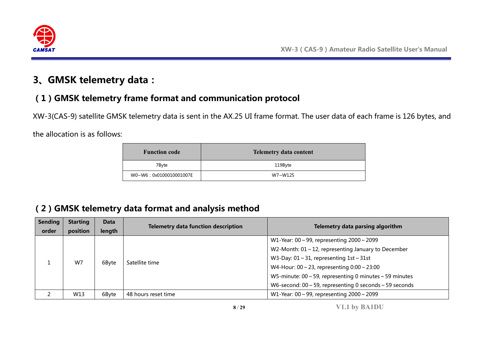

# **3、GMSK telemetry data:**

## **(1)GMSK telemetry frame format and communication protocol**

XW-3(CAS-9) satellite GMSK telemetry data is sent in the AX.25 UI frame format. The user data of each frame is 126 bytes, and

the allocation is as follows:

| <b>Function code</b>   | <b>Telemetry data content</b> |
|------------------------|-------------------------------|
| 7Byte                  | 119Byte                       |
| W0~W6:0x0100010001007E | W7~W125                       |

## **(2)GMSK telemetry data format and analysis method**

| <b>Sending</b><br>order | <b>Starting</b><br>position | <b>Data</b><br>length | <b>Telemetry data function description</b> | Telemetry data parsing algorithm                                   |                                                                    |
|-------------------------|-----------------------------|-----------------------|--------------------------------------------|--------------------------------------------------------------------|--------------------------------------------------------------------|
|                         |                             |                       |                                            | W1-Year: $00 \sim 99$ , representing $2000 \sim 2099$              |                                                                    |
|                         |                             | 6Byte                 |                                            | W2-Month: $01 \sim 12$ , representing January to December          |                                                                    |
|                         |                             |                       | Satellite time                             | W3-Day: $01 \sim 31$ , representing $1st \sim 31st$                |                                                                    |
|                         | W7                          |                       |                                            | W4-Hour: $00 \sim 23$ , representing $0:00 \sim 23:00$             |                                                                    |
|                         |                             |                       |                                            |                                                                    | W5-minute: $00 \sim 59$ , representing 0 minutes $\sim 59$ minutes |
|                         |                             |                       |                                            | W6-second: $00 \sim 59$ , representing 0 seconds $\sim 59$ seconds |                                                                    |
|                         | W13                         | 6Byte                 | 48 hours reset time                        | W1-Year: 00 ~ 99, representing $2000 \sim 2099$                    |                                                                    |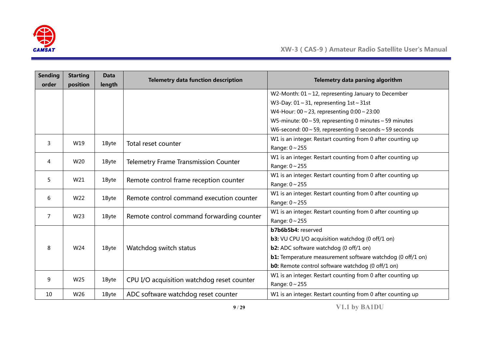

| <b>Sending</b><br>order | <b>Starting</b><br>position | <b>Data</b><br>length | <b>Telemetry data function description</b>  | Telemetry data parsing algorithm                                   |
|-------------------------|-----------------------------|-----------------------|---------------------------------------------|--------------------------------------------------------------------|
|                         |                             |                       |                                             | W2-Month: $01 \sim 12$ , representing January to December          |
|                         |                             |                       |                                             | W3-Day: $01 \sim 31$ , representing $1st \sim 31st$                |
|                         |                             |                       |                                             | W4-Hour: $00 \sim 23$ , representing $0:00 \sim 23:00$             |
|                         |                             |                       |                                             | W5-minute: $00 \sim 59$ , representing 0 minutes $\sim 59$ minutes |
|                         |                             |                       |                                             | W6-second: $00 \sim 59$ , representing 0 seconds $\sim 59$ seconds |
| 3                       | W19                         | 1Byte                 | Total reset counter                         | W1 is an integer. Restart counting from 0 after counting up        |
|                         |                             |                       |                                             | Range: $0 \sim 255$                                                |
| 4                       | W20                         | 1Byte                 | <b>Telemetry Frame Transmission Counter</b> | W1 is an integer. Restart counting from 0 after counting up        |
|                         |                             |                       |                                             | Range: $0 \sim 255$                                                |
| 5                       | W21                         | 1Byte                 | Remote control frame reception counter      | W1 is an integer. Restart counting from 0 after counting up        |
|                         |                             |                       |                                             | Range: $0 \sim 255$                                                |
| 6                       | W22                         | 1Byte                 | Remote control command execution counter    | W1 is an integer. Restart counting from 0 after counting up        |
|                         |                             |                       |                                             | Range: 0~255                                                       |
| 7                       | W23                         | 1Byte                 | Remote control command forwarding counter   | W1 is an integer. Restart counting from 0 after counting up        |
|                         |                             |                       |                                             | Range: 0~255                                                       |
|                         |                             |                       |                                             | <b>b7b6b5b4:</b> reserved                                          |
|                         |                             |                       |                                             | <b>b3:</b> VU CPU I/O acquisition watchdog (0 off/1 on)            |
| 8                       | W24                         | 1Byte                 | Watchdog switch status                      | <b>b2:</b> ADC software watchdog (0 off/1 on)                      |
|                         |                             |                       |                                             | b1: Temperature measurement software watchdog (0 off/1 on)         |
|                         |                             |                       |                                             | <b>b0:</b> Remote control software watchdog (0 off/1 on)           |
| 9                       | W <sub>25</sub>             | 1Byte                 | CPU I/O acquisition watchdog reset counter  | W1 is an integer. Restart counting from 0 after counting up        |
|                         |                             |                       |                                             | Range: $0 \sim 255$                                                |
| 10                      | W26                         | 1Byte                 | ADC software watchdog reset counter         | W1 is an integer. Restart counting from 0 after counting up        |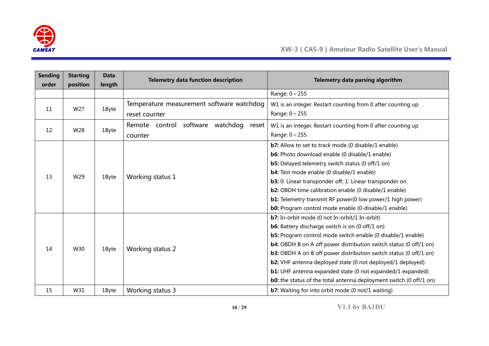

| <b>Sending</b><br>order | <b>Starting</b><br>position | <b>Data</b><br>length | <b>Telemetry data function description</b>      | Telemetry data parsing algorithm                                                            |
|-------------------------|-----------------------------|-----------------------|-------------------------------------------------|---------------------------------------------------------------------------------------------|
|                         |                             |                       |                                                 | Range: $0 \sim 255$                                                                         |
| 11                      | W27                         |                       | Temperature measurement software watchdog       | W1 is an integer. Restart counting from 0 after counting up                                 |
|                         |                             | 1Byte                 | reset counter                                   | Range: $0 \sim 255$                                                                         |
|                         |                             |                       | software<br>watchdog<br>Remote control<br>reset | W1 is an integer. Restart counting from 0 after counting up                                 |
| 12                      | W28                         | 1Byte                 | counter                                         | Range: $0 \sim 255$                                                                         |
|                         |                             |                       |                                                 | <b>b7:</b> Allow to set to track mode (0 disable/1 enable)                                  |
|                         |                             |                       |                                                 | <b>b6:</b> Photo download enable (0 disable/1 enable)                                       |
|                         |                             | 1Byte                 | Working status 1                                | <b>b5:</b> Delayed telemetry switch status (0 off/1 on)                                     |
| 13                      | W29                         |                       |                                                 | <b>b4:</b> Test mode enable (0 disable/1 enable)                                            |
|                         |                             |                       |                                                 | b3: 0: Linear transponder off; 1: Linear transponder on.                                    |
|                         |                             |                       |                                                 | <b>b2:</b> OBDH time calibration enable (0 disable/1 enable)                                |
|                         |                             |                       |                                                 | <b>b1:</b> Telemetry transmit RF power(0 low power/1 high power)                            |
|                         |                             |                       |                                                 | <b>b0:</b> Program control mode enable (0-disable/1 enable)                                 |
|                         |                             |                       |                                                 | <b>b7:</b> In-orbit mode (0 not In-orbit/1 In-orbit)                                        |
|                         |                             |                       |                                                 | <b>b6:</b> Battery discharge switch is on (0 off/1 on)                                      |
|                         |                             |                       |                                                 | b5: Program control mode switch enable (0 disable/1 enable)                                 |
|                         |                             |                       |                                                 | <b>b4:</b> OBDH B on A off power distribution switch status (0 off/1 on)                    |
| 14                      | W30                         | 1Byte                 | Working status 2                                | <b>b3:</b> OBDH A on B off power distribution switch status (0 off/1 on)                    |
|                         |                             |                       |                                                 | b2: VHF antenna deployed state (0 not deployed/1 deployed)                                  |
|                         |                             |                       |                                                 | <b>b1:</b> UHF antenna expanded state (0 not expanded/1 expanded)                           |
|                         |                             |                       |                                                 | <b>b0:</b> the status of the total antenna deployment switch $(0 \text{ off}/1 \text{ on})$ |
| 15                      | W31                         | 1Byte                 | Working status 3                                | <b>b7:</b> Waiting for into orbit mode (0 not/1 waiting)                                    |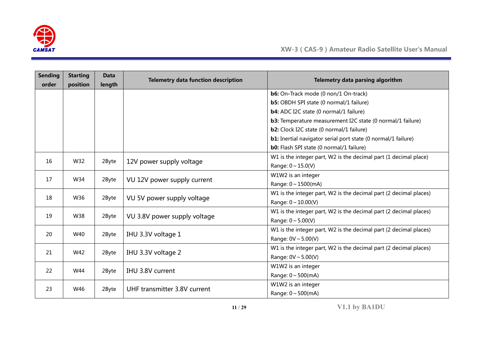

| <b>Sending</b><br>order | <b>Starting</b><br>position | <b>Data</b><br>length | <b>Telemetry data function description</b> | Telemetry data parsing algorithm                                     |
|-------------------------|-----------------------------|-----------------------|--------------------------------------------|----------------------------------------------------------------------|
|                         |                             |                       |                                            | b6: On-Track mode (0 non/1 On-track)                                 |
|                         |                             |                       |                                            | <b>b5:</b> OBDH SPI state (0 normal/1 failure)                       |
|                         |                             |                       |                                            | <b>b4:</b> ADC I2C state (0 normal/1 failure)                        |
|                         |                             |                       |                                            | <b>b3:</b> Temperature measurement I2C state (0 normal/1 failure)    |
|                         |                             |                       |                                            | b2: Clock I2C state (0 normal/1 failure)                             |
|                         |                             |                       |                                            | <b>b1:</b> Inertial navigator serial port state (0 normal/1 failure) |
|                         |                             |                       |                                            | <b>b0:</b> Flash SPI state (0 normal/1 failure)                      |
|                         |                             |                       |                                            | W1 is the integer part, W2 is the decimal part (1 decimal place)     |
| 16                      | W32                         | 2Byte                 | 12V power supply voltage                   | Range: $0 \sim 15.0(V)$                                              |
| 17                      | W34                         |                       |                                            | W1W2 is an integer                                                   |
|                         |                             | 2Byte                 | VU 12V power supply current                | Range: $0 \sim 1500$ (mA)                                            |
| 18                      | W36                         | 2Byte                 |                                            | W1 is the integer part, W2 is the decimal part (2 decimal places)    |
|                         |                             |                       | VU 5V power supply voltage                 | Range: $0 \sim 10.00(V)$                                             |
| 19                      | W38                         | 2Byte                 | VU 3.8V power supply voltage               | W1 is the integer part, W2 is the decimal part (2 decimal places)    |
|                         |                             |                       |                                            | Range: $0 \sim 5.00(V)$                                              |
| 20                      | W40                         |                       |                                            | W1 is the integer part, W2 is the decimal part (2 decimal places)    |
|                         |                             | 2Byte                 | IHU 3.3V voltage 1                         | Range: $0V \sim 5.00(V)$                                             |
| 21                      | W42                         | 2Byte                 | IHU 3.3V voltage 2                         | W1 is the integer part, W2 is the decimal part (2 decimal places)    |
|                         |                             |                       |                                            | Range: $0V \sim 5.00(V)$                                             |
| 22                      | W44<br>2Byte                |                       |                                            | W1W2 is an integer                                                   |
|                         |                             |                       | IHU 3.8V current                           | Range: $0 \sim 500$ (mA)                                             |
|                         |                             | 2Byte                 |                                            | W1W2 is an integer                                                   |
|                         | 23<br>W46                   |                       | UHF transmitter 3.8V current               | Range: $0 \sim 500$ (mA)                                             |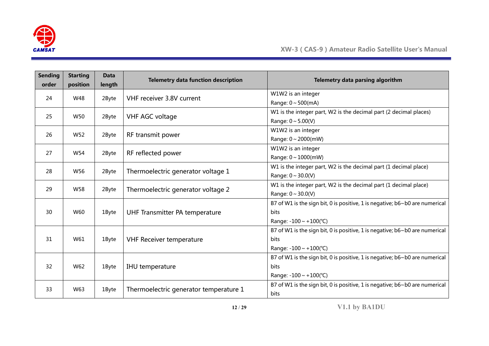

| <b>Sending</b><br>order | <b>Starting</b><br>position | <b>Data</b><br>length | <b>Telemetry data function description</b> | Telemetry data parsing algorithm                                                   |
|-------------------------|-----------------------------|-----------------------|--------------------------------------------|------------------------------------------------------------------------------------|
| 24                      | W48                         |                       | VHF receiver 3.8V current                  | W1W2 is an integer                                                                 |
|                         |                             | 2Byte                 |                                            | Range: $0 \sim 500$ (mA)                                                           |
| 25                      | W50                         | 2Byte                 | VHF AGC voltage                            | W1 is the integer part, W2 is the decimal part (2 decimal places)                  |
|                         |                             |                       |                                            | Range: $0 \sim 5.00(V)$                                                            |
| 26                      | W52                         | 2Byte                 | RF transmit power                          | W1W2 is an integer                                                                 |
|                         |                             |                       |                                            | Range: $0 \sim 2000$ (mW)                                                          |
| 27                      | W54                         | 2Byte                 | RF reflected power                         | W1W2 is an integer                                                                 |
|                         |                             |                       |                                            | Range: $0 \sim 1000$ (mW)                                                          |
| 28                      | W56                         | 2Byte                 |                                            | W1 is the integer part, W2 is the decimal part (1 decimal place)                   |
|                         |                             |                       | Thermoelectric generator voltage 1         | Range: $0 \sim 30.0(V)$                                                            |
| 29                      | W58                         | 2Byte                 |                                            | W1 is the integer part, W2 is the decimal part (1 decimal place)                   |
|                         |                             |                       | Thermoelectric generator voltage 2         | Range: $0 \sim 30.0(V)$                                                            |
|                         |                             |                       |                                            | B7 of W1 is the sign bit, 0 is positive, 1 is negative; b6~b0 are numerical        |
| 30                      | W60                         | 1Byte                 | UHF Transmitter PA temperature             | <b>bits</b>                                                                        |
|                         |                             |                       |                                            | Range: $-100 \sim +100$ (°C)                                                       |
|                         |                             |                       |                                            | B7 of W1 is the sign bit, 0 is positive, 1 is negative; $b6 \sim b0$ are numerical |
| 31                      | W61                         | 1Byte                 | <b>VHF Receiver temperature</b>            | <b>bits</b>                                                                        |
|                         |                             |                       |                                            | Range: $-100 \sim +100$ (°C)                                                       |
|                         |                             |                       |                                            | B7 of W1 is the sign bit, 0 is positive, 1 is negative; b6~b0 are numerical        |
| 32                      | W62                         | 1Byte                 | IHU temperature                            | <b>bits</b>                                                                        |
|                         |                             |                       |                                            | Range: $-100 \sim +100$ (°C)                                                       |
|                         |                             | 1Byte                 |                                            | B7 of W1 is the sign bit, 0 is positive, 1 is negative; $b6 \sim b0$ are numerical |
| W63<br>33               |                             |                       | Thermoelectric generator temperature 1     | <b>bits</b>                                                                        |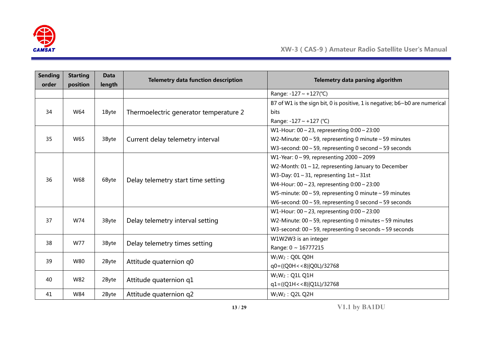

| <b>Sending</b><br>order | <b>Starting</b><br>position | <b>Data</b><br>length                                                                                                                                        | <b>Telemetry data function description</b>                | Telemetry data parsing algorithm                                            |
|-------------------------|-----------------------------|--------------------------------------------------------------------------------------------------------------------------------------------------------------|-----------------------------------------------------------|-----------------------------------------------------------------------------|
|                         |                             |                                                                                                                                                              |                                                           | Range: -127 ~ +127(°C)                                                      |
|                         |                             |                                                                                                                                                              |                                                           | B7 of W1 is the sign bit, 0 is positive, 1 is negative; b6~b0 are numerical |
| 34                      | W64                         | 1Byte                                                                                                                                                        | Thermoelectric generator temperature 2                    | bits                                                                        |
|                         |                             |                                                                                                                                                              |                                                           | Range: -127 ~ +127 (°C)                                                     |
|                         |                             |                                                                                                                                                              |                                                           | W1-Hour: $00 \sim 23$ , representing $0:00 \sim 23:00$                      |
| 35                      | W65                         | 3Byte                                                                                                                                                        | Current delay telemetry interval                          | W2-Minute: $00 \sim 59$ , representing 0 minute $\sim 59$ minutes           |
|                         |                             |                                                                                                                                                              |                                                           | W3-second: $00 \sim 59$ , representing 0 second $\sim 59$ seconds           |
|                         |                             |                                                                                                                                                              |                                                           | W1-Year: $0 \sim 99$ , representing $2000 \sim 2099$                        |
|                         |                             | W3-Day: $01 \sim 31$ , representing $1st \sim 31st$<br>Delay telemetry start time setting<br>6Byte<br>W4-Hour: $00 \sim 23$ , representing $0:00 \sim 23:00$ | W2-Month: $01 \sim 12$ , representing January to December |                                                                             |
| 36                      | W68                         |                                                                                                                                                              |                                                           |                                                                             |
|                         |                             |                                                                                                                                                              |                                                           |                                                                             |
|                         |                             |                                                                                                                                                              |                                                           | W5-minute: $00 \sim 59$ , representing 0 minute $\sim 59$ minutes           |
|                         |                             |                                                                                                                                                              |                                                           | W6-second: $00 \sim 59$ , representing 0 second $\sim 59$ seconds           |
|                         |                             |                                                                                                                                                              |                                                           | W1-Hour: $00 \sim 23$ , representing $0:00 \sim 23:00$                      |
| 37                      | W74                         | 3Byte                                                                                                                                                        | Delay telemetry interval setting                          | W2-Minute: $00 \sim 59$ , representing 0 minutes $\sim 59$ minutes          |
|                         |                             |                                                                                                                                                              |                                                           | W3-second: $00 \sim 59$ , representing 0 seconds $\sim 59$ seconds          |
| 38                      | W77                         | 3Byte                                                                                                                                                        | Delay telemetry times setting                             | W1W2W3 is an integer                                                        |
|                         |                             |                                                                                                                                                              |                                                           | Range: 0 ~ 16777215                                                         |
| 39                      | W80                         |                                                                                                                                                              |                                                           | $W_1W_2$ : Q0L Q0H                                                          |
|                         |                             | 2Byte                                                                                                                                                        | Attitude quaternion q0                                    | q0=((Q0H < < 8) Q0L)/32768                                                  |
| 40                      | W82                         |                                                                                                                                                              |                                                           | $W_1W_2$ : Q1L Q1H                                                          |
|                         |                             | 2Byte                                                                                                                                                        | Attitude quaternion q1                                    | $q1 = ((Q1H < 8)   Q1L)/32768$                                              |
| 41                      | W84                         | 2Byte                                                                                                                                                        | Attitude quaternion q2                                    | $W_1W_2$ : Q2L Q2H                                                          |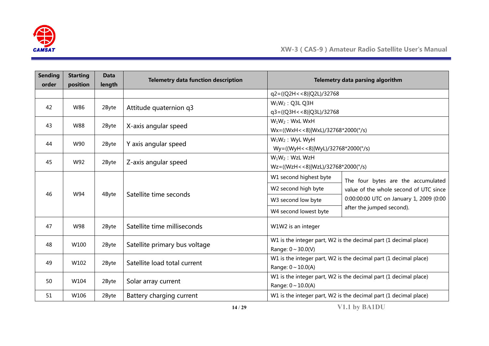

| <b>Sending</b><br>order | <b>Starting</b><br>position | <b>Data</b><br>length | <b>Telemetry data function description</b> |                                         | Telemetry data parsing algorithm                                 |  |  |  |  |  |
|-------------------------|-----------------------------|-----------------------|--------------------------------------------|-----------------------------------------|------------------------------------------------------------------|--|--|--|--|--|
|                         |                             |                       |                                            | q2=((Q2H < < 8) Q2L)/32768              |                                                                  |  |  |  |  |  |
| 42                      | W86                         | 2Byte                 | Attitude quaternion q3                     | $W_1W_2$ : Q3L Q3H                      |                                                                  |  |  |  |  |  |
|                         |                             |                       |                                            | q3=((Q3H < < 8) Q3L)/32768              |                                                                  |  |  |  |  |  |
| 43                      | W88                         | 2Byte                 | X-axis angular speed                       | $W_1W_2$ : WxL WxH                      |                                                                  |  |  |  |  |  |
|                         |                             |                       |                                            | $Wx = ((WxH < 8) WxL)/32768*2000(°/s))$ |                                                                  |  |  |  |  |  |
| 44                      | W90                         | 2Byte                 | Y axis angular speed                       | $W_1W_2$ : WyL WyH                      |                                                                  |  |  |  |  |  |
|                         |                             |                       |                                            | Wy=((WyH<<8) WyL)/32768*2000(°/s)       |                                                                  |  |  |  |  |  |
| 45                      | W92                         | 2Byte                 | Z-axis angular speed                       | $W_1W_2$ : WzL WzH                      |                                                                  |  |  |  |  |  |
|                         |                             |                       |                                            |                                         | Wz=((WzH<<8) WzL)/32768*2000(°/s)                                |  |  |  |  |  |
|                         |                             |                       |                                            | W1 second highest byte                  | The four bytes are the accumulated                               |  |  |  |  |  |
| 46                      | W94                         |                       | Satellite time seconds                     | W2 second high byte                     | value of the whole second of UTC since                           |  |  |  |  |  |
|                         |                             | 4Byte                 |                                            | W3 second low byte                      | 0:00:00:00 UTC on January 1, 2009 (0:00                          |  |  |  |  |  |
|                         |                             |                       |                                            | W4 second lowest byte                   | after the jumped second).                                        |  |  |  |  |  |
| 47                      | W98                         | 2Byte                 | Satellite time milliseconds                | W1W2 is an integer                      |                                                                  |  |  |  |  |  |
| 48                      | W100                        | 2Byte                 | Satellite primary bus voltage              |                                         | W1 is the integer part, W2 is the decimal part (1 decimal place) |  |  |  |  |  |
|                         |                             |                       |                                            | Range: $0 \sim 30.0(V)$                 |                                                                  |  |  |  |  |  |
| 49                      | W102                        | 2Byte                 | Satellite load total current               |                                         | W1 is the integer part, W2 is the decimal part (1 decimal place) |  |  |  |  |  |
|                         |                             |                       |                                            | Range: $0 \sim 10.0(A)$                 |                                                                  |  |  |  |  |  |
| 50                      | W104                        | 2Byte                 |                                            |                                         | W1 is the integer part, W2 is the decimal part (1 decimal place) |  |  |  |  |  |
|                         |                             |                       | Solar array current                        | Range: $0 \sim 10.0(A)$                 |                                                                  |  |  |  |  |  |
| 51                      | W106                        | 2Byte                 | Battery charging current                   |                                         | W1 is the integer part, W2 is the decimal part (1 decimal place) |  |  |  |  |  |

**14** / **29 V1.1 by BA1DU**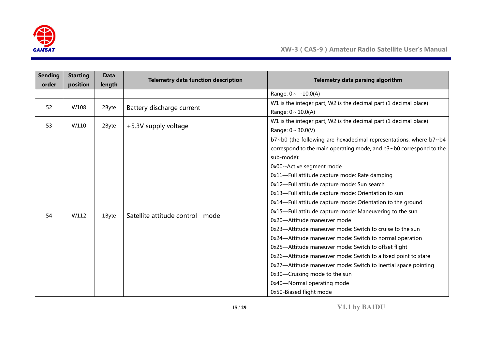

| <b>Sending</b><br>order | <b>Starting</b><br>position | <b>Data</b> | <b>Telemetry data function description</b> | Telemetry data parsing algorithm                                          |
|-------------------------|-----------------------------|-------------|--------------------------------------------|---------------------------------------------------------------------------|
|                         |                             | length      |                                            | Range: $0 \sim -10.0(A)$                                                  |
|                         |                             |             |                                            | W1 is the integer part, W2 is the decimal part (1 decimal place)          |
| 52                      | W108                        | 2Byte       | Battery discharge current                  | Range: $0 \sim 10.0(A)$                                                   |
|                         |                             |             |                                            | W1 is the integer part, W2 is the decimal part (1 decimal place)          |
| 53                      | W110                        | 2Byte       | +5.3V supply voltage                       | Range: $0 \sim 30.0(V)$                                                   |
|                         |                             |             |                                            | b7~b0 (the following are hexadecimal representations, where b7~b4         |
|                         |                             |             |                                            | correspond to the main operating mode, and $b3 \sim b0$ correspond to the |
|                         |                             |             |                                            | sub-mode):                                                                |
|                         |                             |             |                                            | 0x00--Active segment mode                                                 |
|                         |                             |             |                                            | 0x11-Full attitude capture mode: Rate damping                             |
|                         |                             |             |                                            | 0x12-Full attitude capture mode: Sun search                               |
|                         |                             |             |                                            | 0x13-Full attitude capture mode: Orientation to sun                       |
|                         |                             |             |                                            | 0x14-Full attitude capture mode: Orientation to the ground                |
|                         |                             |             |                                            | 0x15-Full attitude capture mode: Maneuvering to the sun                   |
| 54                      | W112                        | 1Byte       | Satellite attitude control mode            | 0x20-Attitude maneuver mode                                               |
|                         |                             |             |                                            | 0x23-Attitude maneuver mode: Switch to cruise to the sun                  |
|                         |                             |             |                                            | 0x24-Attitude maneuver mode: Switch to normal operation                   |
|                         |                             |             |                                            | 0x25-Attitude maneuver mode: Switch to offset flight                      |
|                         |                             |             |                                            | 0x26-Attitude maneuver mode: Switch to a fixed point to stare             |
|                         |                             |             |                                            | 0x27-Attitude maneuver mode: Switch to inertial space pointing            |
|                         |                             |             |                                            | 0x30-Cruising mode to the sun                                             |
|                         |                             |             |                                            | 0x40-Normal operating mode                                                |
|                         |                             |             |                                            | 0x50-Biased flight mode                                                   |

**15** / **29 V1.1 by BA1DU**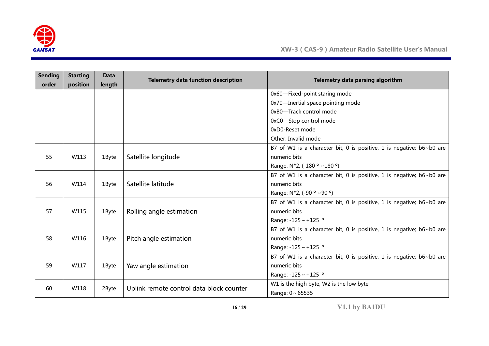

| <b>Sending</b><br>order | <b>Starting</b><br>position | <b>Data</b><br>length | <b>Telemetry data function description</b>      | Telemetry data parsing algorithm                                     |  |  |  |  |
|-------------------------|-----------------------------|-----------------------|-------------------------------------------------|----------------------------------------------------------------------|--|--|--|--|
|                         |                             |                       |                                                 | 0x60-Fixed-point staring mode                                        |  |  |  |  |
|                         |                             |                       |                                                 | 0x70-Inertial space pointing mode                                    |  |  |  |  |
|                         |                             |                       |                                                 | 0xB0-Track control mode                                              |  |  |  |  |
|                         |                             |                       |                                                 |                                                                      |  |  |  |  |
|                         |                             |                       |                                                 | 0xC0-Stop control mode                                               |  |  |  |  |
|                         |                             |                       |                                                 | 0xD0-Reset mode                                                      |  |  |  |  |
|                         |                             |                       |                                                 | Other: Invalid mode                                                  |  |  |  |  |
|                         |                             |                       |                                                 | B7 of W1 is a character bit, 0 is positive, 1 is negative; b6~b0 are |  |  |  |  |
| 55                      | W113                        | 1Byte                 | Satellite longitude                             | numeric bits                                                         |  |  |  |  |
|                         |                             |                       | Range: $N*2$ , (-180 $\degree$ ~180 $\degree$ ) |                                                                      |  |  |  |  |
|                         |                             |                       |                                                 | B7 of W1 is a character bit, 0 is positive, 1 is negative; b6~b0 are |  |  |  |  |
| 56                      | W114                        | 1Byte                 | Satellite latitude                              | numeric bits                                                         |  |  |  |  |
|                         |                             |                       |                                                 | Range: $N*2$ , (-90 $\degree$ ~90 $\degree$ )                        |  |  |  |  |
|                         |                             | 1Byte                 |                                                 | B7 of W1 is a character bit, 0 is positive, 1 is negative; b6~b0 are |  |  |  |  |
| 57                      | W115                        |                       | Rolling angle estimation                        | numeric bits                                                         |  |  |  |  |
|                         |                             |                       |                                                 | Range: $-125 \sim +125$ °                                            |  |  |  |  |
|                         |                             |                       |                                                 | B7 of W1 is a character bit, 0 is positive, 1 is negative; b6~b0 are |  |  |  |  |
| 58                      | W116                        | 1Byte                 | Pitch angle estimation                          | numeric bits                                                         |  |  |  |  |
|                         |                             |                       |                                                 | Range: $-125 \sim +125$ °                                            |  |  |  |  |
|                         |                             |                       |                                                 | B7 of W1 is a character bit, 0 is positive, 1 is negative; b6~b0 are |  |  |  |  |
| 59                      | W117                        | 1Byte                 | Yaw angle estimation                            | numeric bits                                                         |  |  |  |  |
|                         |                             |                       |                                                 | Range: -125 ~ +125 °                                                 |  |  |  |  |
|                         |                             |                       |                                                 | W1 is the high byte, W2 is the low byte                              |  |  |  |  |
| W118<br>60              |                             | 2Byte                 | Uplink remote control data block counter        | Range: 0~65535                                                       |  |  |  |  |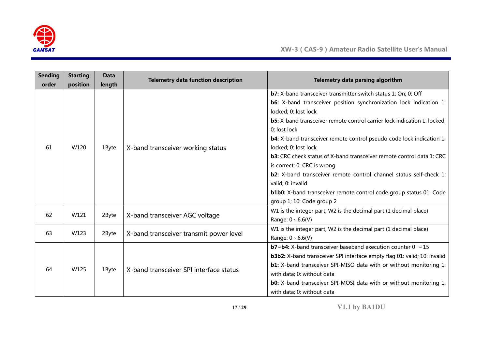

| <b>Sending</b> | <b>Starting</b> | <b>Data</b> | <b>Telemetry data function description</b> | Telemetry data parsing algorithm                                                |  |  |  |  |
|----------------|-----------------|-------------|--------------------------------------------|---------------------------------------------------------------------------------|--|--|--|--|
| order          | position        | length      |                                            |                                                                                 |  |  |  |  |
|                |                 |             |                                            | <b>b7:</b> X-band transceiver transmitter switch status 1: On; 0: Off           |  |  |  |  |
|                |                 |             |                                            | <b>b6:</b> X-band transceiver position synchronization lock indication 1:       |  |  |  |  |
|                |                 |             |                                            | locked; 0: lost lock                                                            |  |  |  |  |
|                |                 |             |                                            | <b>b5:</b> X-band transceiver remote control carrier lock indication 1: locked; |  |  |  |  |
|                |                 |             |                                            | 0: lost lock                                                                    |  |  |  |  |
|                |                 |             |                                            | <b>b4:</b> X-band transceiver remote control pseudo code lock indication 1:     |  |  |  |  |
| 61             | W120            | 1Byte       | X-band transceiver working status          | locked; 0: lost lock                                                            |  |  |  |  |
|                |                 |             |                                            | b3: CRC check status of X-band transceiver remote control data 1: CRC           |  |  |  |  |
|                |                 |             |                                            | is correct; 0: CRC is wrong                                                     |  |  |  |  |
|                |                 |             |                                            | <b>b2:</b> X-band transceiver remote control channel status self-check 1:       |  |  |  |  |
|                |                 |             |                                            | valid; 0: invalid                                                               |  |  |  |  |
|                |                 |             |                                            | <b>b1b0:</b> X-band transceiver remote control code group status 01: Code       |  |  |  |  |
|                |                 |             |                                            | group 1; 10: Code group 2                                                       |  |  |  |  |
|                |                 |             |                                            | W1 is the integer part, W2 is the decimal part (1 decimal place)                |  |  |  |  |
| 62             | W121            | 2Byte       | X-band transceiver AGC voltage             | Range: $0 \sim 6.6(V)$                                                          |  |  |  |  |
|                |                 |             |                                            | W1 is the integer part, W2 is the decimal part (1 decimal place)                |  |  |  |  |
| 63             | W123            | 2Byte       | X-band transceiver transmit power level    |                                                                                 |  |  |  |  |
|                |                 |             |                                            | Range: $0 \sim 6.6(V)$                                                          |  |  |  |  |
|                |                 |             |                                            | <b>b7~b4:</b> X-band transceiver baseband execution counter $0 \sim 15$         |  |  |  |  |
|                |                 |             |                                            | b3b2: X-band transceiver SPI interface empty flag 01: valid; 10: invalid        |  |  |  |  |
| 64             | W125            | 1Byte       | X-band transceiver SPI interface status    | <b>b1:</b> X-band transceiver SPI-MISO data with or without monitoring 1:       |  |  |  |  |
|                |                 |             |                                            | with data; 0: without data                                                      |  |  |  |  |
|                |                 |             |                                            | <b>b0:</b> X-band transceiver SPI-MOSI data with or without monitoring 1:       |  |  |  |  |
|                |                 |             |                                            | with data; 0: without data                                                      |  |  |  |  |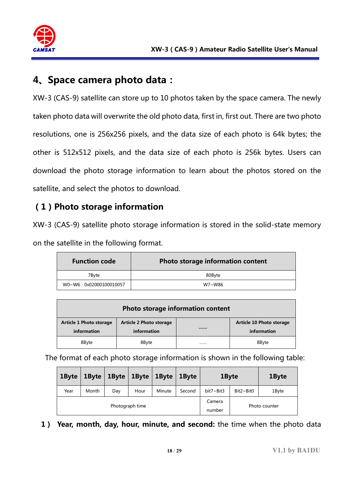

## **4、Space camera photo data:**

XW-3 (CAS-9) satellite can store up to 10 photos taken by the space camera. The newly taken photo data will overwrite the old photo data, first in, first out. There are two photo resolutions, one is 256x256 pixels, and the data size of each photo is 64k bytes; the other is 512x512 pixels, and the data size of each photo is 256k bytes. Users can download the photo storage information to learn about the photos stored on the satellite, and select the photos to download.

#### **(1)Photo storage information**

XW-3 (CAS-9) satellite photo storage information is stored in the solid-state memory on the satellite in the following format.

| <b>Function code</b>   | Photo storage information content |
|------------------------|-----------------------------------|
| 7Bvte                  | 80Byte                            |
| W0~W6:0x02000100010057 | W7~W86                            |

| Photo storage information content      |                                               |  |                                         |  |  |  |  |  |  |
|----------------------------------------|-----------------------------------------------|--|-----------------------------------------|--|--|--|--|--|--|
| Article 1 Photo storage<br>information | <b>Article 2 Photo storage</b><br>information |  | Article 10 Photo storage<br>information |  |  |  |  |  |  |
| 8Byte                                  | 8Byte                                         |  | 8Byte                                   |  |  |  |  |  |  |

The format of each photo storage information is shown in the following table:

| 1Byte | 1Byte | 1Byte | $1$ Byte        | 1Byte  | 1Byte  | 1Byte     |                  | 1Byte |
|-------|-------|-------|-----------------|--------|--------|-----------|------------------|-------|
| Year  | Month | Day   | Hour            | Minute | Second | bit7~Bit3 | $Bit2~\sim$ Bit0 | 1Byte |
|       |       |       | Photograph time |        | Camera |           | Photo counter    |       |
|       |       |       |                 |        | number |           |                  |       |

**1) Year, month, day, hour, minute, and second:** the time when the photo data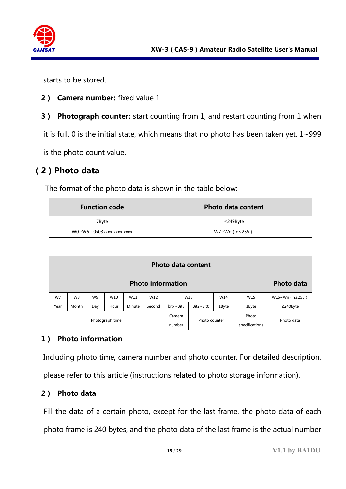

starts to be stored.

- **2) Camera number:** fixed value 1
- **3) Photograph counter:** start counting from 1, and restart counting from 1 when

it is full. 0 is the initial state, which means that no photo has been taken yet.  $1 \sim 999$ 

is the photo count value.

#### **(2)Photo data**

The format of the photo data is shown in the table below:

| <b>Function code</b>      | <b>Photo data content</b> |
|---------------------------|---------------------------|
| 7Byte                     | $\leq$ 249Byte            |
| WO~W6: 0x03xxxx xxxx xxxx | W7~Wn (n≤255)             |

|                 | <b>Photo data content</b>                     |                |      |        |                                   |           |                  |                         |            |                |
|-----------------|-----------------------------------------------|----------------|------|--------|-----------------------------------|-----------|------------------|-------------------------|------------|----------------|
|                 | <b>Photo information</b><br><b>Photo data</b> |                |      |        |                                   |           |                  |                         |            |                |
| W7              | W8                                            | W <sub>9</sub> | W10  | W11    | W12                               |           | W13              | W14                     | W15        | W16~Wn (n≤255) |
| Year            | Month                                         | Day            | Hour | Minute | Second                            | bit7~Bit3 | $Bit2 \sim Bit0$ | 1Byte                   | 1Byte      | $≤240$ Byte    |
| Photograph time |                                               |                |      |        | Camera<br>Photo counter<br>number |           |                  | Photo<br>specifications | Photo data |                |

#### **1) Photo information**

Including photo time, camera number and photo counter. For detailed description,

please refer to this article (instructions related to photo storage information).

#### **2) Photo data**

Fill the data of a certain photo, except for the last frame, the photo data of each photo frame is 240 bytes, and the photo data of the last frame is the actual number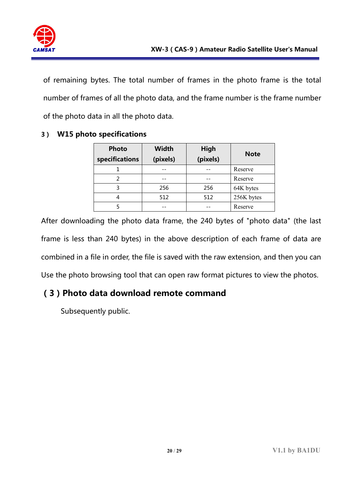

of remaining bytes. The total number of frames in the photo frame is the total number of frames of all the photo data, and the frame number is the frame number of the photo data in all the photo data.

| <b>Photo</b><br>specifications | <b>Width</b><br>(pixels) | High<br>(pixels) | <b>Note</b> |  |  |
|--------------------------------|--------------------------|------------------|-------------|--|--|
|                                |                          |                  | Reserve     |  |  |
| っ                              |                          |                  | Reserve     |  |  |
| 3                              | 256                      | 256              | 64K bytes   |  |  |
| 4                              | 512                      | 512              | 256K bytes  |  |  |
|                                |                          |                  | Reserve     |  |  |

#### **3) W15 photo specifications**

After downloading the photo data frame, the 240 bytes of "photo data" (the last frame is less than 240 bytes) in the above description of each frame of data are combined in a file in order, the file is saved with the raw extension, and then you can Use the photo browsing tool that can open raw format pictures to view the photos.

### **(3)Photo data download remote command**

Subsequently public.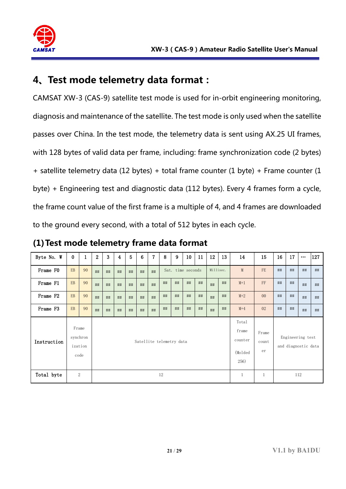

# **4、Test mode telemetry data format:**

CAMSAT XW-3 (CAS-9) satellite test mode is used for in-orbit engineering monitoring, diagnosis and maintenance of the satellite. The test mode is only used when the satellite passes over China. In the test mode, the telemetry data is sent using AX.25 UI frames, with 128 bytes of valid data per frame, including: frame synchronization code (2 bytes) + satellite telemetry data (12 bytes) + total frame counter (1 byte) + Frame counter (1 byte) + Engineering test and diagnostic data (112 bytes). Every 4 frames form a cycle, the frame count value of the first frame is a multiple of 4, and 4 frames are downloaded to the ground every second, with a total of 512 bytes in each cycle.

| Byte No. W  | $\bf{0}$          | $\mathbf{1}$    | $\overline{2}$ | 3                        | 4  | 5  | 6  | 7  | 8  | 9                 | 10 | 11                                            | 12                   | 13 | 14                                      | 15             | 16 | 17 | $\cdots$ | 127 |
|-------------|-------------------|-----------------|----------------|--------------------------|----|----|----|----|----|-------------------|----|-----------------------------------------------|----------------------|----|-----------------------------------------|----------------|----|----|----------|-----|
| Frame FO    | EB                | 90              | ##             | ##                       | ## | ## | ## | ## |    | Sat. time seconds |    |                                               | Millisec.            |    | M                                       | FE             | ## | ## | ##       | ##  |
| Frame F1    | EB                | 90              | ##             | ##                       | ## | ## | ## | ## | ## | ##                | ## | ##                                            | ##                   | ## | $M+1$                                   | FF             | ## | ## | ##       | ##  |
| Frame F2    | EB                | 90              | ##             | ##                       | ## | ## | ## | ## | ## | ##                | ## | ##                                            | ##                   | ## | $M+2$                                   | 0 <sup>0</sup> | ## | ## | ##       | ##  |
| Frame F3    | EB                | 90              | ##             | ##                       | ## | ## | ## | ## | ## | ##                | ## | ##                                            | ##                   | ## | $M+4$                                   | 02             | ## | ## | ##       | ##  |
| Instruction | Frame<br>synchron | ization<br>code |                | Satellite telemetry data |    |    |    |    |    |                   |    | Total<br>frame<br>counter<br>(Molded)<br>256) | Frame<br>count<br>er |    | Engineering test<br>and diagnostic data |                |    |    |          |     |
| Total byte  |                   | $\sqrt{2}$      |                |                          |    |    |    |    | 12 |                   |    |                                               |                      |    | 1                                       | 1              |    |    | 112      |     |

**(1)Test mode telemetry frame data format**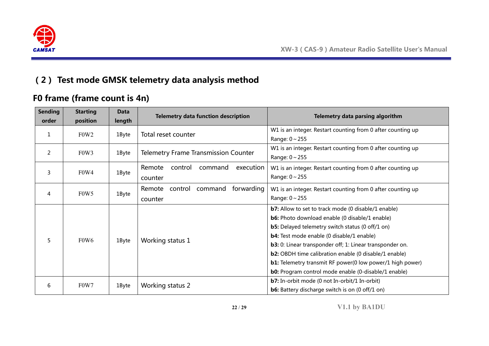

# **(2) Test mode GMSK telemetry data analysis method**

## **F0 frame (frame count is 4n)**

| <b>Sending</b><br>order | <b>Starting</b><br>position   | <b>Data</b><br>length | <b>Telemetry data function description</b>            | Telemetry data parsing algorithm                                                                                                                                                                                                                                                                                                                                                                                                                                                                  |
|-------------------------|-------------------------------|-----------------------|-------------------------------------------------------|---------------------------------------------------------------------------------------------------------------------------------------------------------------------------------------------------------------------------------------------------------------------------------------------------------------------------------------------------------------------------------------------------------------------------------------------------------------------------------------------------|
| 1                       | F <sub>0</sub> W <sub>2</sub> | 1Byte                 | Total reset counter                                   | W1 is an integer. Restart counting from 0 after counting up<br>Range: $0 \sim 255$                                                                                                                                                                                                                                                                                                                                                                                                                |
| 2                       | F0W3                          | 1Byte                 | <b>Telemetry Frame Transmission Counter</b>           | W1 is an integer. Restart counting from 0 after counting up<br>Range: $0 \sim 255$                                                                                                                                                                                                                                                                                                                                                                                                                |
| 3                       | F0W4                          | 1Byte                 | Remote<br>control<br>command<br>execution<br>counter  | W1 is an integer. Restart counting from 0 after counting up<br>Range: $0 \sim 255$                                                                                                                                                                                                                                                                                                                                                                                                                |
| 4                       | F <sub>0</sub> W <sub>5</sub> | 1Byte                 | forwarding<br>command<br>Remote<br>control<br>counter | W1 is an integer. Restart counting from 0 after counting up<br>Range: $0 \sim 255$                                                                                                                                                                                                                                                                                                                                                                                                                |
| 5                       | F0W6                          | 1Byte                 | Working status 1                                      | <b>b7:</b> Allow to set to track mode (0 disable/1 enable)<br><b>b6:</b> Photo download enable (0 disable/1 enable)<br><b>b5:</b> Delayed telemetry switch status (0 off/1 on)<br><b>b4:</b> Test mode enable (0 disable/1 enable)<br>b3: 0: Linear transponder off; 1: Linear transponder on.<br><b>b2:</b> OBDH time calibration enable (0 disable/1 enable)<br><b>b1:</b> Telemetry transmit RF power(0 low power/1 high power)<br><b>b0:</b> Program control mode enable (0-disable/1 enable) |
| 6                       | F0W7                          | 1Byte                 | Working status 2                                      | <b>b7:</b> In-orbit mode (0 not In-orbit/1 In-orbit)<br><b>b6:</b> Battery discharge switch is on (0 off/1 on)                                                                                                                                                                                                                                                                                                                                                                                    |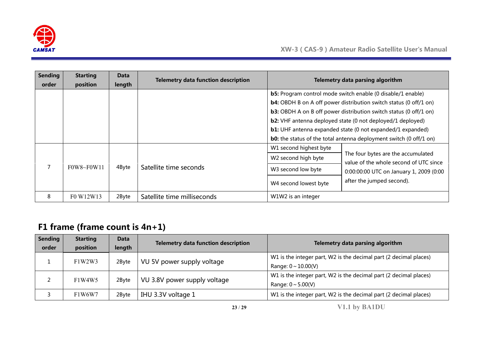

| <b>Sending</b><br>order | <b>Starting</b><br>position                    | Data<br>length | <b>Telemetry data function description</b> |                                                                                 | Telemetry data parsing algorithm                                                                                                                                                                                                                                                                                                                                                                                                                  |
|-------------------------|------------------------------------------------|----------------|--------------------------------------------|---------------------------------------------------------------------------------|---------------------------------------------------------------------------------------------------------------------------------------------------------------------------------------------------------------------------------------------------------------------------------------------------------------------------------------------------------------------------------------------------------------------------------------------------|
|                         |                                                |                |                                            |                                                                                 | <b>b5:</b> Program control mode switch enable (0 disable/1 enable)<br><b>b4:</b> OBDH B on A off power distribution switch status (0 off/1 on)<br><b>b3:</b> OBDH A on B off power distribution switch status (0 off/1 on)<br><b>b2:</b> VHF antenna deployed state (0 not deployed/1 deployed)<br><b>b1:</b> UHF antenna expanded state (0 not expanded/1 expanded)<br><b>b0:</b> the status of the total antenna deployment switch (0 off/1 on) |
|                         | $F0W8 \sim F0W11$                              | 4Byte          | Satellite time seconds                     | W1 second highest byte<br>W <sub>2</sub> second high byte<br>W3 second low byte | The four bytes are the accumulated<br>value of the whole second of UTC since                                                                                                                                                                                                                                                                                                                                                                      |
|                         |                                                |                |                                            | W4 second lowest byte                                                           | 0:00:00:00 UTC on January 1, 2009 (0:00<br>after the jumped second).                                                                                                                                                                                                                                                                                                                                                                              |
| 8                       | F <sub>0</sub> W <sub>12</sub> W <sub>13</sub> | 2Byte          | Satellite time milliseconds                | W1W2 is an integer                                                              |                                                                                                                                                                                                                                                                                                                                                                                                                                                   |

# **F1 frame (frame count is 4n+1)**

| <b>Sending</b> | <b>Starting</b> | <b>Data</b> | <b>Telemetry data function description</b> | Telemetry data parsing algorithm                                  |
|----------------|-----------------|-------------|--------------------------------------------|-------------------------------------------------------------------|
| order          | position        | length      |                                            |                                                                   |
|                |                 |             |                                            | W1 is the integer part, W2 is the decimal part (2 decimal places) |
|                | F1W2W3          | 2Byte       | VU 5V power supply voltage                 | Range: $0 \sim 10.00(V)$                                          |
|                | F1W4W5          |             | VU 3.8V power supply voltage               | W1 is the integer part, W2 is the decimal part (2 decimal places) |
|                |                 | 2Byte       |                                            | Range: $0 \sim 5.00(V)$                                           |
|                | F1W6W7          | 2Byte       | IHU 3.3V voltage 1                         | W1 is the integer part, W2 is the decimal part (2 decimal places) |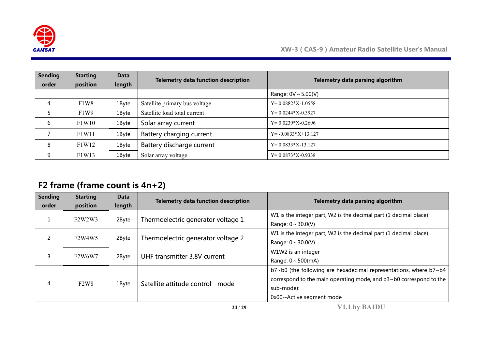

| <b>Sending</b> | <b>Starting</b>               | Data   | <b>Telemetry data function description</b> | Telemetry data parsing algorithm |
|----------------|-------------------------------|--------|--------------------------------------------|----------------------------------|
| order          | position                      | length |                                            |                                  |
|                |                               |        |                                            | Range: $0V \sim 5.00(V)$         |
| 4              | F <sub>1</sub> W <sub>8</sub> | 1Byte  | Satellite primary bus voltage              | $Y=0.0882*X-1.0558$              |
|                | F <sub>1</sub> W <sub>9</sub> | 1Byte  | Satellite load total current               | $Y=0.0244*X-0.3927$              |
| 6              | F1W10                         | 1Byte  | Solar array current                        | $Y=0.0239*X-0.2696$              |
|                | F1W11                         | 1Byte  | Battery charging current                   | $Y = -0.0833 \times 13.127$      |
| 8              | F1W12                         | 1Byte  | Battery discharge current                  | $Y=0.0833*X-13.127$              |
| 9              | F1W13                         | 1Byte  | Solar array voltage                        | $Y=0.0873*X-0.9338$              |

## **F2 frame (frame count is 4n+2)**

| <b>Sending</b><br>order | <b>Starting</b><br>position                  | <b>Data</b><br>length | <b>Telemetry data function description</b> | Telemetry data parsing algorithm                                                                                                                                                   |
|-------------------------|----------------------------------------------|-----------------------|--------------------------------------------|------------------------------------------------------------------------------------------------------------------------------------------------------------------------------------|
| Ŧ                       | F2W2W3                                       | 2Byte                 | Thermoelectric generator voltage 1         | W1 is the integer part, W2 is the decimal part (1 decimal place)<br>Range: $0 \sim 30.0(V)$                                                                                        |
| 2                       | F <sub>2</sub> W <sub>4</sub> W <sub>5</sub> | 2Byte                 | Thermoelectric generator voltage 2         | W1 is the integer part, W2 is the decimal part (1 decimal place)<br>Range: $0 \sim 30.0(V)$                                                                                        |
| 3                       | F <sub>2</sub> W6W7                          | 2Byte                 | UHF transmitter 3.8V current               | W1W2 is an integer<br>Range: $0 \sim 500$ (mA)                                                                                                                                     |
| 4                       | F2W8                                         | 1Byte                 | Satellite attitude control<br>mode         | b7~b0 (the following are hexadecimal representations, where b7~b4<br>correspond to the main operating mode, and b3~b0 correspond to the<br>sub-mode):<br>0x00--Active segment mode |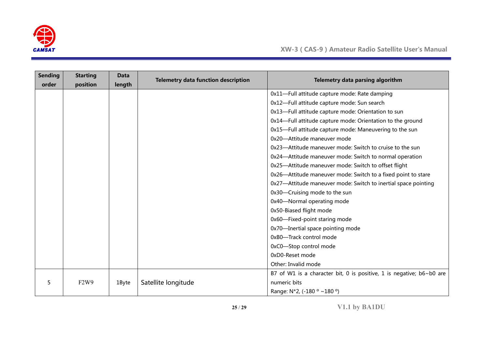

| <b>Sending</b><br>order | <b>Starting</b><br>position | <b>Data</b><br>length | <b>Telemetry data function description</b> | Telemetry data parsing algorithm                                            |
|-------------------------|-----------------------------|-----------------------|--------------------------------------------|-----------------------------------------------------------------------------|
|                         |                             |                       |                                            | 0x11-Full attitude capture mode: Rate damping                               |
|                         |                             |                       |                                            | 0x12-Full attitude capture mode: Sun search                                 |
|                         |                             |                       |                                            | 0x13-Full attitude capture mode: Orientation to sun                         |
|                         |                             |                       |                                            | 0x14-Full attitude capture mode: Orientation to the ground                  |
|                         |                             |                       |                                            |                                                                             |
|                         |                             |                       |                                            | 0x15-Full attitude capture mode: Maneuvering to the sun                     |
|                         |                             |                       |                                            | 0x20-Attitude maneuver mode                                                 |
|                         |                             |                       |                                            | 0x23-Attitude maneuver mode: Switch to cruise to the sun                    |
|                         |                             |                       |                                            | 0x24-Attitude maneuver mode: Switch to normal operation                     |
|                         |                             |                       |                                            | 0x25-Attitude maneuver mode: Switch to offset flight                        |
|                         |                             |                       |                                            | 0x26-Attitude maneuver mode: Switch to a fixed point to stare               |
|                         |                             |                       |                                            | 0x27-Attitude maneuver mode: Switch to inertial space pointing              |
|                         |                             |                       |                                            | 0x30-Cruising mode to the sun                                               |
|                         |                             |                       |                                            | 0x40-Normal operating mode                                                  |
|                         |                             |                       |                                            | 0x50-Biased flight mode                                                     |
|                         |                             |                       |                                            | 0x60-Fixed-point staring mode                                               |
|                         |                             |                       |                                            | 0x70-Inertial space pointing mode                                           |
|                         |                             |                       |                                            | 0xB0-Track control mode                                                     |
|                         |                             |                       |                                            | 0xC0-Stop control mode                                                      |
|                         |                             |                       |                                            | 0xD0-Reset mode                                                             |
|                         |                             |                       |                                            | Other: Invalid mode                                                         |
|                         |                             |                       |                                            | B7 of W1 is a character bit, 0 is positive, 1 is negative; $b6 \sim b0$ are |
| 5                       | F2W9                        | 1Byte                 | Satellite longitude                        | numeric bits                                                                |
|                         |                             |                       |                                            | Range: N*2, (-180 ° ~180 °)                                                 |

**25** / **29 V1.1 by BA1DU**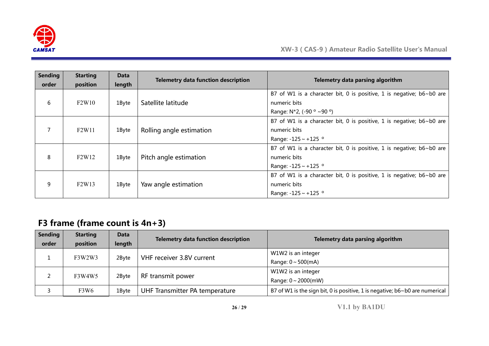

| <b>Sending</b><br>order | <b>Starting</b><br>position    | Data<br>length | <b>Telemetry data function description</b> | Telemetry data parsing algorithm                                                                                         |
|-------------------------|--------------------------------|----------------|--------------------------------------------|--------------------------------------------------------------------------------------------------------------------------|
| 6                       | F2W10                          | 1Byte          | Satellite latitude                         | B7 of W1 is a character bit, 0 is positive, 1 is negative; $b6 \sim b0$ are<br>numeric bits<br>Range: N*2, (-90 ° ~90 °) |
|                         | F <sub>2</sub> W <sub>11</sub> | 1Byte          | Rolling angle estimation                   | B7 of W1 is a character bit, 0 is positive, 1 is negative; b6~b0 are<br>numeric bits<br>Range: $-125 \sim +125$ °        |
| 8                       | F <sub>2</sub> W <sub>12</sub> | 1Byte          | Pitch angle estimation                     | B7 of W1 is a character bit, 0 is positive, 1 is negative; b6~b0 are<br>numeric bits<br>Range: $-125 \sim +125$ °        |
| 9                       | F <sub>2</sub> W <sub>13</sub> | 1Byte          | Yaw angle estimation                       | B7 of W1 is a character bit, 0 is positive, 1 is negative; b6~b0 are<br>numeric bits<br>Range: $-125 \sim +125$ °        |

# **F3 frame (frame count is 4n+3)**

| <b>Sending</b> | <b>Starting</b> | Data   | <b>Telemetry data function description</b> | Telemetry data parsing algorithm                                                   |
|----------------|-----------------|--------|--------------------------------------------|------------------------------------------------------------------------------------|
| order          | position        | length |                                            |                                                                                    |
|                |                 | 2Byte  | VHF receiver 3.8V current                  | W1W2 is an integer                                                                 |
|                | F3W2W3          |        |                                            | Range: $0 \sim 500$ (mA)                                                           |
|                | F3W4W5          | 2Byte  |                                            | W1W2 is an integer                                                                 |
|                |                 |        | RF transmit power                          | Range: $0 \sim 2000$ (mW)                                                          |
|                | F3W6            | 1Byte  | UHF Transmitter PA temperature             | B7 of W1 is the sign bit, 0 is positive, 1 is negative; $b6 \sim b0$ are numerical |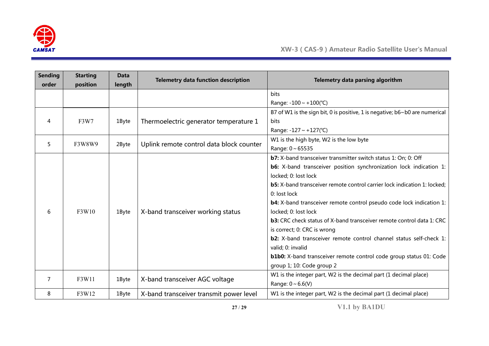

| <b>Sending</b><br>order | <b>Starting</b> | <b>Data</b>          | <b>Telemetry data function description</b>                                      | Telemetry data parsing algorithm                                            |
|-------------------------|-----------------|----------------------|---------------------------------------------------------------------------------|-----------------------------------------------------------------------------|
|                         | position        | length               |                                                                                 |                                                                             |
|                         |                 |                      |                                                                                 | <b>bits</b>                                                                 |
|                         |                 |                      |                                                                                 | Range: $-100 \sim +100$ (°C)                                                |
|                         |                 |                      |                                                                                 | B7 of W1 is the sign bit, 0 is positive, 1 is negative; b6~b0 are numerical |
| 4                       | F3W7            | 1Byte                | Thermoelectric generator temperature 1                                          | <b>bits</b>                                                                 |
|                         |                 |                      |                                                                                 | Range: $-127 \sim +127$ (°C)                                                |
| 5                       | F3W8W9          | 2Byte                | Uplink remote control data block counter                                        | W1 is the high byte, W2 is the low byte                                     |
|                         |                 |                      |                                                                                 | Range: 0~65535                                                              |
|                         |                 |                      |                                                                                 | b7: X-band transceiver transmitter switch status 1: On; 0: Off              |
|                         |                 |                      | <b>b6:</b> X-band transceiver position synchronization lock indication 1:       |                                                                             |
|                         |                 | locked; 0: lost lock |                                                                                 |                                                                             |
|                         |                 |                      | <b>b5:</b> X-band transceiver remote control carrier lock indication 1: locked; |                                                                             |
|                         |                 |                      | 0: lost lock<br>X-band transceiver working status<br>locked; 0: lost lock       |                                                                             |
|                         |                 |                      |                                                                                 | <b>b4:</b> X-band transceiver remote control pseudo code lock indication 1: |
| 6                       | F3W10           | 1Byte                |                                                                                 |                                                                             |
|                         |                 |                      | <b>b3:</b> CRC check status of X-band transceiver remote control data 1: CRC    |                                                                             |
|                         |                 |                      |                                                                                 | is correct; 0: CRC is wrong                                                 |
|                         |                 |                      |                                                                                 | <b>b2:</b> X-band transceiver remote control channel status self-check 1:   |
|                         |                 |                      |                                                                                 | valid; 0: invalid                                                           |
|                         |                 |                      |                                                                                 | <b>b1b0:</b> X-band transceiver remote control code group status 01: Code   |
|                         |                 |                      |                                                                                 | group 1; 10: Code group 2                                                   |
|                         |                 |                      | W1 is the integer part, W2 is the decimal part (1 decimal place)                |                                                                             |
| 7                       | F3W11           | 1Byte                | X-band transceiver AGC voltage                                                  | Range: $0 \sim 6.6(V)$                                                      |
| 8                       | F3W12           | 1Byte                | X-band transceiver transmit power level                                         | W1 is the integer part, W2 is the decimal part (1 decimal place)            |